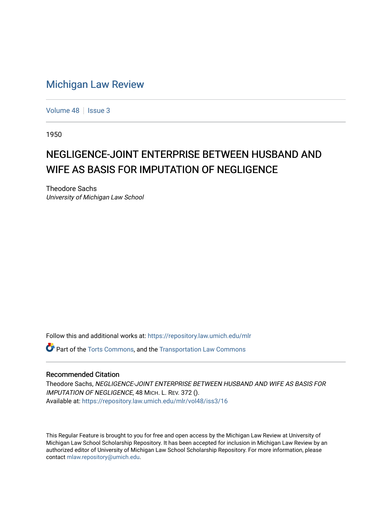## [Michigan Law Review](https://repository.law.umich.edu/mlr)

[Volume 48](https://repository.law.umich.edu/mlr/vol48) | [Issue 3](https://repository.law.umich.edu/mlr/vol48/iss3)

1950

## NEGLIGENCE-JOINT ENTERPRISE BETWEEN HUSBAND AND WIFE AS BASIS FOR IMPUTATION OF NEGLIGENCE

Theodore Sachs University of Michigan Law School

Follow this and additional works at: [https://repository.law.umich.edu/mlr](https://repository.law.umich.edu/mlr?utm_source=repository.law.umich.edu%2Fmlr%2Fvol48%2Fiss3%2F16&utm_medium=PDF&utm_campaign=PDFCoverPages) 

 $\bullet$  Part of the [Torts Commons](http://network.bepress.com/hgg/discipline/913?utm_source=repository.law.umich.edu%2Fmlr%2Fvol48%2Fiss3%2F16&utm_medium=PDF&utm_campaign=PDFCoverPages), and the Transportation Law Commons

## Recommended Citation

Theodore Sachs, NEGLIGENCE-JOINT ENTERPRISE BETWEEN HUSBAND AND WIFE AS BASIS FOR IMPUTATION OF NEGLIGENCE, 48 MICH. L. REV. 372 (). Available at: [https://repository.law.umich.edu/mlr/vol48/iss3/16](https://repository.law.umich.edu/mlr/vol48/iss3/16?utm_source=repository.law.umich.edu%2Fmlr%2Fvol48%2Fiss3%2F16&utm_medium=PDF&utm_campaign=PDFCoverPages) 

This Regular Feature is brought to you for free and open access by the Michigan Law Review at University of Michigan Law School Scholarship Repository. It has been accepted for inclusion in Michigan Law Review by an authorized editor of University of Michigan Law School Scholarship Repository. For more information, please contact [mlaw.repository@umich.edu](mailto:mlaw.repository@umich.edu).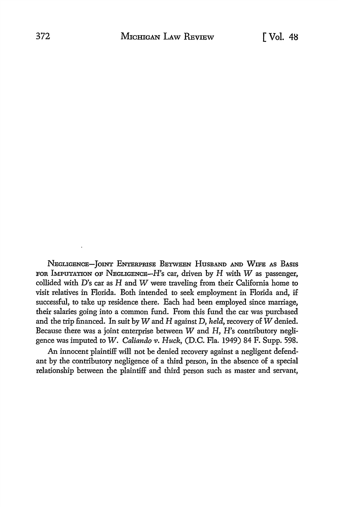NEGLIGENCE-JOINT ENTERPRISE BETWEEN HUSBAND AND WIFE AS BASIS FOR IMPUTATION OF NEGLIGENCE- $H$ 's car, driven by  $H$  with  $W$  as passenger, collided with  $D$ 's car as  $H$  and  $W$  were traveling from their California home to visit relatives in Florida. Both intended to seek employment in Florida and, if successful, to take up residence there. Each had been employed since marriage, their salaries going into a common fund. From this fund the car was purchased and the trip financed. In suit by Wand H against D, *held,* recovery of *W* denied. Because there was a joint enterprise between  $W$  and  $H$ ,  $H$ 's contributory negligence was imputed to *W. Caliando v. Huck,* (D.C. Fla. 1949) 84 F. Supp. 598.

An innocent plaintiff will not be denied recovery against a negligent defendant by the contributory negligence of a third person, in the absence of a special relationship between the plaintiff and third person such as master and servant,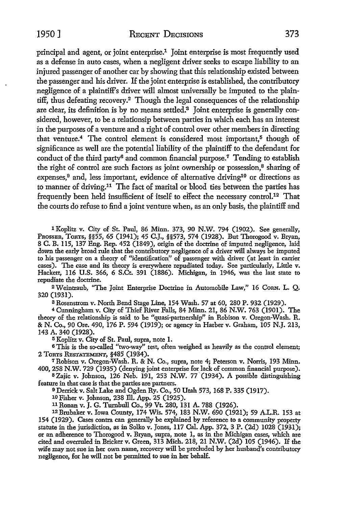1950] RECENT DECISIONS 373

principal and agent, or joint enterprise.1 Joint enterprise is most frequently used as a defense in auto cases, when a negligent driver seeks to escape liability to an injured passenger of another car by showing that this relationship existed between the passenger and his driver. If the joint enterprise is established, the contributory negligence of a plaintiff's driver will almost universally be imputed to the plaintiff, thus defeating recovery.2 Though the legal consequences of the relationship are clear, its definition is by no means settled.'3 Joint enterprise is generally considered, however, to be a relationsip between parties in which each has an interest in the purposes of a venture and a right of control over other members in directing that venture.<sup>4</sup> The control element is considered most important,<sup>5</sup> though of significance as well are the potential liability of the plaintiff to the defendant for conduct of the third party<sup>6</sup> and common financial purpose.<sup>7</sup> Tending to establish the right of control are such factors as joint ownership or possession,<sup>8</sup> sharing of expenses,<sup>9</sup> and, less important, evidence of alternative driving<sup>10</sup> or directions as to manner of driving.<sup>11</sup> The fact of marital or blood ties between the parties has frequently been held insufficient of itself to effect the necessary control.12 That the courts do refuse to find a joint venture when, as an only basis, the plaintiff and

1 Koplitz v. City of St. Paul, 86 Minn. 373, 90 N.W. 794 (1902). See generally, PROSSER, TORTS, §§55, 65 (1941); 45 C.J., §§573, 574 (1928). But Thorogood v. Bryan, 8 C. B. 115, 137 Eng. Rep. 452 (1849), origin of the doctrine of imputed negligence, laid down the early broad rule that the contributory negligence of a driver will always be imputed to his passenger on a theory of "identification" of passenger with driver (at least in carrier cases). The case and its theory is everywhere repudiated today. See particularly, Little v. Hackett, 116 U.S. 366, 6 S.Ct. 391 (1886). Michigan, in 1946, was the last state to repudiate the doctrine.

2 Weintraub, "The Joint Enterprise Doctrine in Automobile Law," 16 CoRN. L. Q. 320 (1931).

3 Rosenstrom v. North Bend Stage Line, 154 Wash. 57 at 60, 280 P. 932 (1929).

<sup>4</sup>Cunningham v. City\_ of Thief River Falls, 84 Minn. 21, 86 N.W. 763 (1901). The theory of the relationship is said to be "quasi-partnership" in Robison v. Oregon-Wash. R. & N. Co., 90 Ore. 490, 176 P. 594 (1919); or agency in Harber v. Graham, 105 N.J. 213, 143 A. 340 (1928).

<sup>5</sup>Koplitz v. City of St. Paul, supra, note 1.

<sup>6</sup>This is the so-called "two-way" test, often weighed as heavily as the control element; 2 TORTS RESTATEMENT, §485 (1934).

<sup>7</sup>Robison v. Oregon-Wash. R. & N. Co., supra, note 4; Peterson v. Norris, 193 Minn. 400, 258 N.W. 729 (1935) (denying joint enterprise for lack of common financial purpose).

s Zajic v. Johnson, 126 Neb. 191, 253 N.W. 77. (1934). A possible distinguishing feature in that case is that the parties are partners.

o Derrick v. Salt Lake and Ogden Ry. Co., 50 Utah 573, 168 P. 335 (1917).

10 Fisher v. Johnson, 238 lli. App. 25 (1925).

11 Ronan v. J. G. Turnbull Co., 99 Vt. 280, 131 A. 788 (1926).

12Brubaker v. Iowa County, 174 Wis. 574, 183 N.W. 690 (1921); 59 A.L.R. 153 at 154 (1929). Cases contra can generally be explained by reference to a community property statute in the jurisdiction, as in Solko v. Jones, 117 Cal. App. 372, 3 P. (2d) 1028 (1931); or an adherence to Thorogood v. Bryan, supra, note 1, as in the Michigan cases, which are cited and overruled in Bricker v. Green, 313 Mich. 218, 21 N.W. (2d) 105 (1946). If the wife may not sue in her own name, recovery will be precluded by her husband's contributory negligence, for he will not be permitted to sue in her behalf.